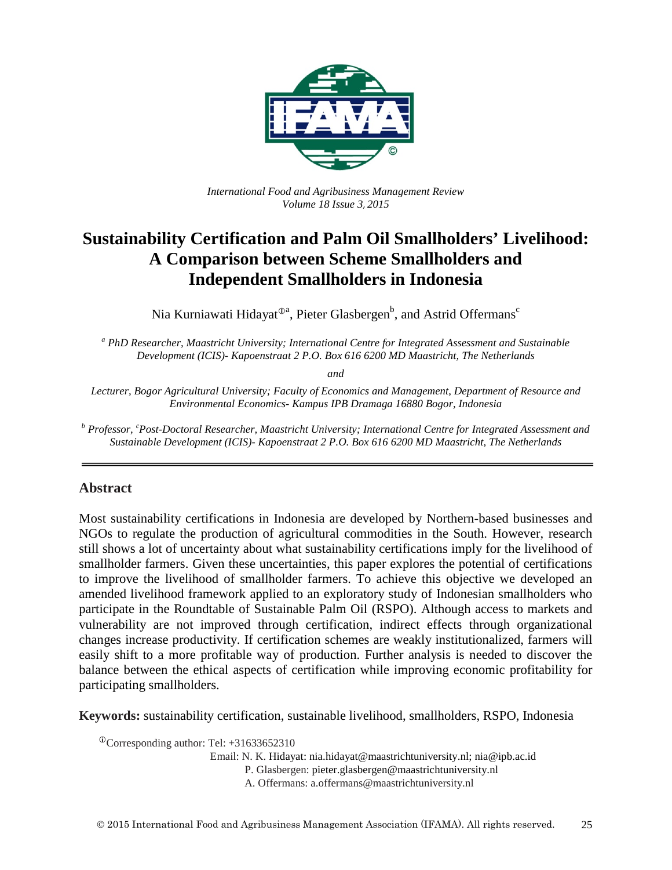

*International Food and Agribusiness Management Review Volume 18 Issue 3*, *2015*

# **Sustainability Certification and Palm Oil Smallholders' Livelihood: A Comparison between Scheme Smallholders and Independent Smallholders in Indonesia**

Nia Kurniawati Hidayat $^{{\scriptsize\textcircled{\tiny 2a}}},$  Pieter Glasbergen $^{\rm b}$ , and Astrid Offermans $^{\rm c}$ 

*<sup>a</sup> PhD Researcher, Maastricht University; International Centre for Integrated Assessment and Sustainable Development (ICIS)- Kapoenstraat 2 P.O. Box 616 6200 MD Maastricht, The Netherlands*

*and* 

*Lecturer, Bogor Agricultural University; Faculty of Economics and Management, Department of Resource and Environmental Economics- Kampus IPB Dramaga 16880 Bogor, Indonesia*

*<sup>b</sup> Professor, <sup>c</sup> Post-Doctoral Researcher, Maastricht University; International Centre for Integrated Assessment and Sustainable Development (ICIS)- Kapoenstraat 2 P.O. Box 616 6200 MD Maastricht, The Netherlands*

# **Abstract**

Most sustainability certifications in Indonesia are developed by Northern-based businesses and NGOs to regulate the production of agricultural commodities in the South. However, research still shows a lot of uncertainty about what sustainability certifications imply for the livelihood of smallholder farmers. Given these uncertainties, this paper explores the potential of certifications to improve the livelihood of smallholder farmers. To achieve this objective we developed an amended livelihood framework applied to an exploratory study of Indonesian smallholders who participate in the Roundtable of Sustainable Palm Oil (RSPO). Although access to markets and vulnerability are not improved through certification, indirect effects through organizational changes increase productivity. If certification schemes are weakly institutionalized, farmers will easily shift to a more profitable way of production. Further analysis is needed to discover the balance between the ethical aspects of certification while improving economic profitability for participating smallholders.

**Keywords:** sustainability certification, sustainable livelihood, smallholders, RSPO, Indonesia

Corresponding author: Tel: +31633652310

Email: N. K. Hidayat: nia.hidayat@maastrichtuniversity.nl; nia@ipb.ac.id

P. Glasbergen: pieter.glasbergen@maastrichtuniversity.nl

A. Offermans: a.offermans@maastrichtuniversity.nl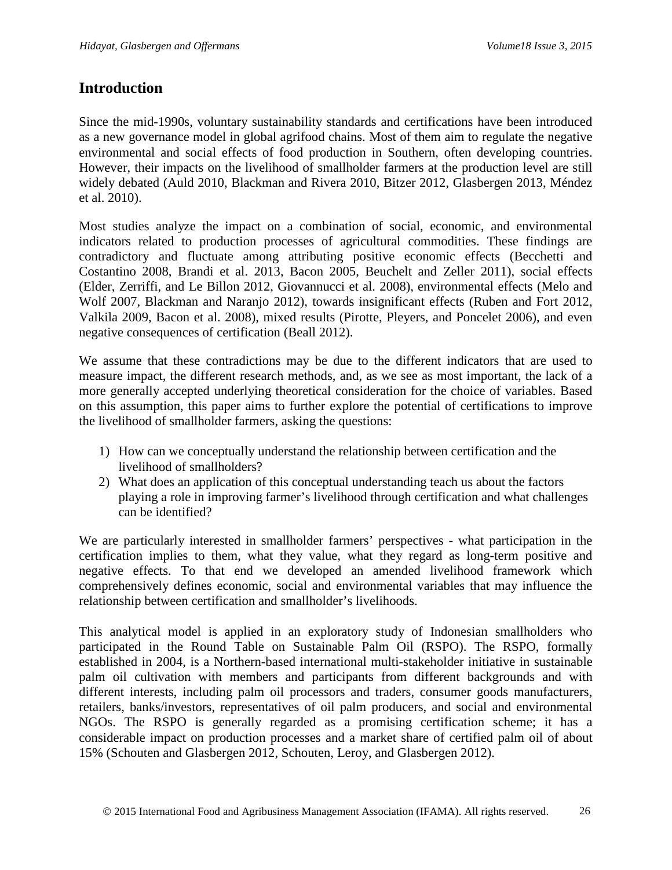# **Introduction**

Since the mid-1990s, voluntary sustainability standards and certifications have been introduced as a new governance model in global agrifood chains. Most of them aim to regulate the negative environmental and social effects of food production in Southern, often developing countries. However, their impacts on the livelihood of smallholder farmers at the production level are still widely debated [\(Auld 2010,](#page-19-0) [Blackman and Rivera 2010,](#page-20-0) [Bitzer 2012,](#page-19-1) [Glasbergen 2013,](#page-21-0) [Méndez](#page-22-0)  [et al. 2010\)](#page-22-0).

Most studies analyze the impact on a combination of social, economic, and environmental indicators related to production processes of agricultural commodities. These findings are contradictory and fluctuate among attributing positive economic effects [\(Becchetti and](#page-19-2)  [Costantino 2008,](#page-19-2) [Brandi et al. 2013,](#page-20-1) [Bacon 2005,](#page-19-3) [Beuchelt and Zeller 2011\)](#page-19-4), social effects (Elder, Zerriffi, [and Le Billon 2012,](#page-21-1) [Giovannucci et al. 2008\)](#page-21-2), environmental effects [\(Melo and](#page-22-1)  [Wolf 2007,](#page-22-1) [Blackman and Naranjo 2012\)](#page-20-2), towards insignificant effects [\(Ruben and Fort 2012,](#page-22-2) [Valkila 2009,](#page-23-0) [Bacon et al. 2008\)](#page-19-5), mixed results [\(Pirotte, Pleyers, and Poncelet 2006\)](#page-22-3), and even negative consequences of certification [\(Beall 2012\)](#page-19-6).

We assume that these contradictions may be due to the different indicators that are used to measure impact, the different research methods, and, as we see as most important, the lack of a more generally accepted underlying theoretical consideration for the choice of variables. Based on this assumption, this paper aims to further explore the potential of certifications to improve the livelihood of smallholder farmers, asking the questions:

- 1) How can we conceptually understand the relationship between certification and the livelihood of smallholders?
- 2) What does an application of this conceptual understanding teach us about the factors playing a role in improving farmer's livelihood through certification and what challenges can be identified?

We are particularly interested in smallholder farmers' perspectives - what participation in the certification implies to them, what they value, what they regard as long-term positive and negative effects. To that end we developed an amended livelihood framework which comprehensively defines economic, social and environmental variables that may influence the relationship between certification and smallholder's livelihoods.

This analytical model is applied in an exploratory study of Indonesian smallholders who participated in the Round Table on Sustainable Palm Oil (RSPO). The RSPO, formally established in 2004, is a Northern-based international multi-stakeholder initiative in sustainable palm oil cultivation with members and participants from different backgrounds and with different interests, including palm oil processors and traders, consumer goods manufacturers, retailers, banks/investors, representatives of oil palm producers, and social and environmental NGOs. The RSPO is generally regarded as a promising certification scheme; it has a considerable impact on production processes and a market share of certified palm oil of about 15% [\(Schouten and Glasbergen 2012,](#page-23-1) [Schouten, Leroy, and Glasbergen 2012\)](#page-23-2).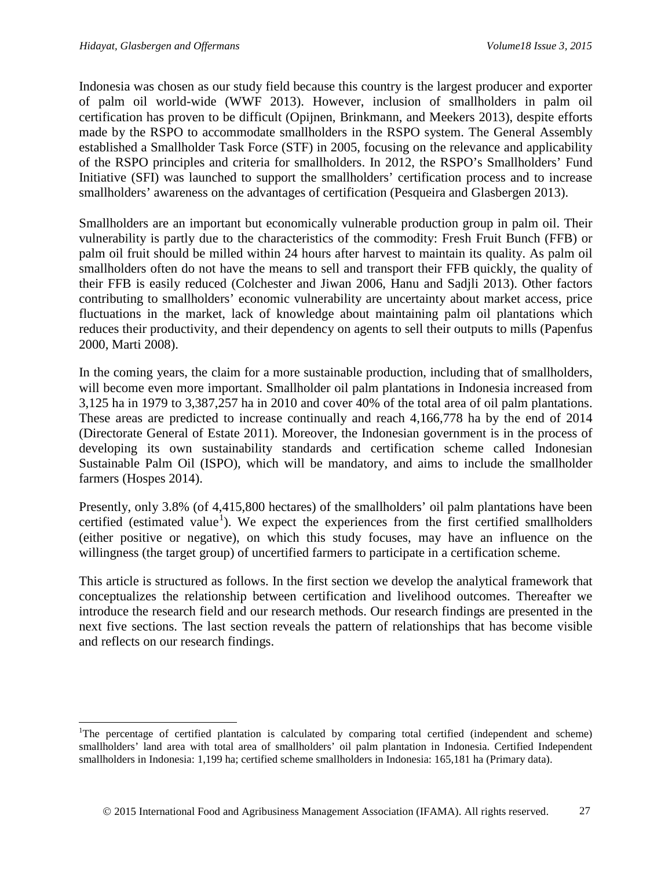Indonesia was chosen as our study field because this country is the largest producer and exporter of palm oil world-wide [\(WWF 2013\)](#page-23-3). However, inclusion of smallholders in palm oil certification has proven to be difficult [\(Opijnen, Brinkmann, and Meekers 2013\)](#page-22-4), despite efforts made by the RSPO to accommodate smallholders in the RSPO system. The General Assembly established a Smallholder Task Force (STF) in 2005, focusing on the relevance and applicability of the RSPO principles and criteria for smallholders. In 2012, the RSPO's Smallholders' Fund Initiative (SFI) was launched to support the smallholders' certification process and to increase smallholders' awareness on the advantages of certification [\(Pesqueira and Glasbergen 2013\)](#page-22-5).

Smallholders are an important but economically vulnerable production group in palm oil. Their vulnerability is partly due to the characteristics of the commodity: Fresh Fruit Bunch (FFB) or palm oil fruit should be milled within 24 hours after harvest to maintain its quality. As palm oil smallholders often do not have the means to sell and transport their FFB quickly, the quality of their FFB is easily reduced [\(Colchester and Jiwan 2006,](#page-20-3) [Hanu and Sadjli 2013\)](#page-21-3). Other factors contributing to smallholders' economic vulnerability are uncertainty about market access, price fluctuations in the market, lack of knowledge about maintaining palm oil plantations which reduces their productivity, and their dependency on agents to sell their outputs to mills [\(Papenfus](#page-22-6)  [2000,](#page-22-6) [Marti 2008\)](#page-21-4).

In the coming years, the claim for a more sustainable production, including that of smallholders, will become even more important. Smallholder oil palm plantations in Indonesia increased from 3,125 ha in 1979 to 3,387,257 ha in 2010 and cover 40% of the total area of oil palm plantations. These areas are predicted to increase continually and reach 4,166,778 ha by the end of 2014 [\(Directorate General of Estate 2011\)](#page-20-4). Moreover, the Indonesian government is in the process of developing its own sustainability standards and certification scheme called Indonesian Sustainable Palm Oil (ISPO), which will be mandatory, and aims to include the smallholder farmers [\(Hospes 2014\)](#page-21-5).

Presently, only 3.8% (of 4,415,800 hectares) of the smallholders' oil palm plantations have been certified (estimated value<sup>[1](#page-2-0)</sup>). We expect the experiences from the first certified smallholders (either positive or negative), on which this study focuses, may have an influence on the willingness (the target group) of uncertified farmers to participate in a certification scheme.

This article is structured as follows. In the first section we develop the analytical framework that conceptualizes the relationship between certification and livelihood outcomes. Thereafter we introduce the research field and our research methods. Our research findings are presented in the next five sections. The last section reveals the pattern of relationships that has become visible and reflects on our research findings.

<span id="page-2-0"></span><sup>&</sup>lt;sup>1</sup>The percentage of certified plantation is calculated by comparing total certified (independent and scheme) smallholders' land area with total area of smallholders' oil palm plantation in Indonesia. Certified Independent smallholders in Indonesia: 1,199 ha; certified scheme smallholders in Indonesia: 165,181 ha (Primary data).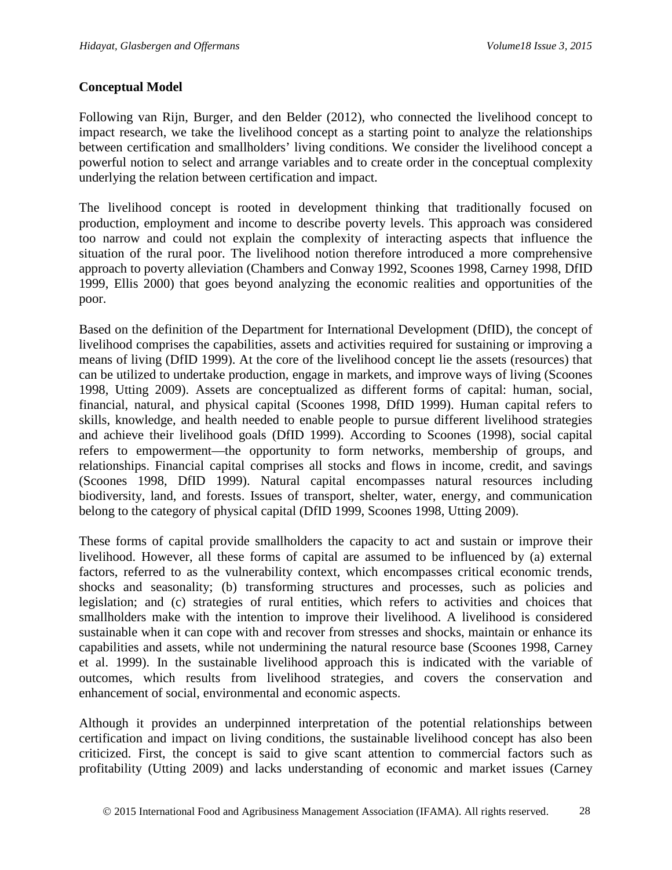# **Conceptual Model**

Following [van Rijn, Burger, and den Belder \(2012\),](#page-23-4) who connected the livelihood concept to impact research, we take the livelihood concept as a starting point to analyze the relationships between certification and smallholders' living conditions. We consider the livelihood concept a powerful notion to select and arrange variables and to create order in the conceptual complexity underlying the relation between certification and impact.

The livelihood concept is rooted in development thinking that traditionally focused on production, employment and income to describe poverty levels. This approach was considered too narrow and could not explain the complexity of interacting aspects that influence the situation of the rural poor. The livelihood notion therefore introduced a more comprehensive approach to poverty alleviation [\(Chambers and Conway 1992,](#page-20-5) [Scoones 1998,](#page-23-5) [Carney 1998,](#page-20-6) [DfID](#page-20-7)  [1999,](#page-20-7) [Ellis 2000\)](#page-21-6) that goes beyond analyzing the economic realities and opportunities of the poor.

Based on the definition of the Department for International Development (DfID), the concept of livelihood comprises the capabilities, assets and activities required for sustaining or improving a means of living [\(DfID 1999\)](#page-20-7). At the core of the livelihood concept lie the assets (resources) that can be utilized to undertake production, engage in markets, and improve ways of living [\(Scoones](#page-23-5)  [1998,](#page-23-5) [Utting 2009\)](#page-23-6). Assets are conceptualized as different forms of capital: human, social, financial, natural, and physical capital [\(Scoones 1998,](#page-23-5) [DfID 1999\)](#page-20-7). Human capital refers to skills, knowledge, and health needed to enable people to pursue different livelihood strategies and achieve their livelihood goals [\(DfID 1999\)](#page-20-7). According to [Scoones \(1998\),](#page-23-5) social capital refers to empowerment—the opportunity to form networks, membership of groups, and relationships. Financial capital comprises all stocks and flows in income, credit, and savings [\(Scoones 1998,](#page-23-5) [DfID 1999\)](#page-20-7). Natural capital encompasses natural resources including biodiversity, land, and forests. Issues of transport, shelter, water, energy, and communication belong to the category of physical capital [\(DfID 1999,](#page-20-7) [Scoones 1998,](#page-23-5) [Utting 2009\)](#page-23-6).

These forms of capital provide smallholders the capacity to act and sustain or improve their livelihood. However, all these forms of capital are assumed to be influenced by (a) external factors, referred to as the vulnerability context, which encompasses critical economic trends, shocks and seasonality; (b) transforming structures and processes, such as policies and legislation; and (c) strategies of rural entities, which refers to activities and choices that smallholders make with the intention to improve their livelihood. A livelihood is considered sustainable when it can cope with and recover from stresses and shocks, maintain or enhance its capabilities and assets, while not undermining the natural resource base [\(Scoones 1998,](#page-23-5) [Carney](#page-20-8)  [et al. 1999\)](#page-20-8). In the sustainable livelihood approach this is indicated with the variable of outcomes, which results from livelihood strategies, and covers the conservation and enhancement of social, environmental and economic aspects.

Although it provides an underpinned interpretation of the potential relationships between certification and impact on living conditions, the sustainable livelihood concept has also been criticized. First, the concept is said to give scant attention to commercial factors such as profitability [\(Utting 2009\)](#page-23-6) and lacks understanding of economic and market issues [\(Carney](#page-20-9)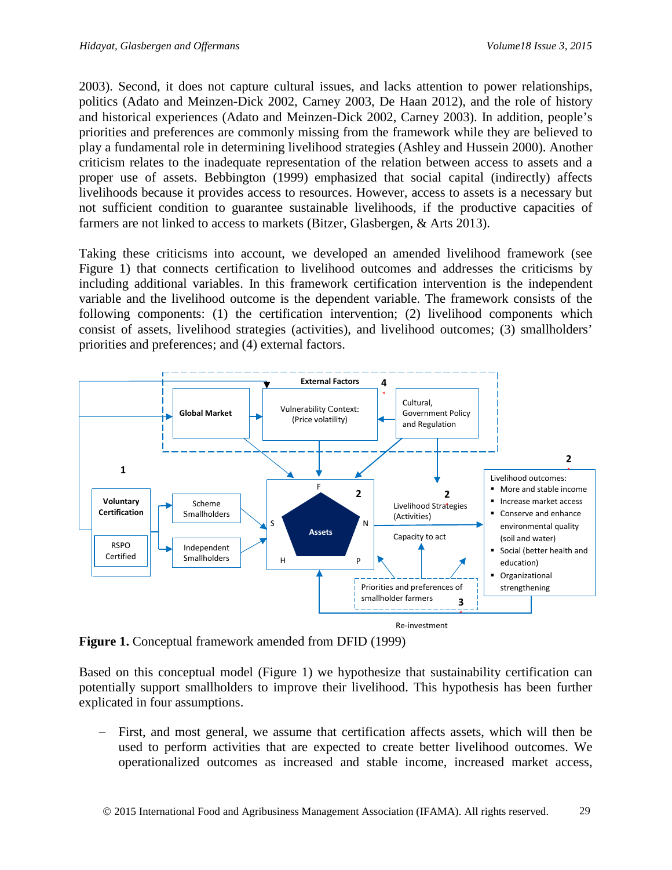[2003\)](#page-20-9). Second, it does not capture cultural issues, and lacks attention to power relationships, politics [\(Adato and Meinzen-Dick 2002,](#page-18-0) [Carney 2003,](#page-20-9) [De Haan 2012\)](#page-20-10), and the role of history and historical experiences [\(Adato and Meinzen-Dick 2002,](#page-18-0) [Carney 2003\)](#page-20-9). In addition, people's priorities and preferences are commonly missing from the framework while they are believed to play a fundamental role in determining livelihood strategies [\(Ashley and Hussein 2000\)](#page-18-1). Another criticism relates to the inadequate representation of the relation between access to assets and a proper use of assets. [Bebbington \(1999\)](#page-19-7) emphasized that social capital (indirectly) affects livelihoods because it provides access to resources. However, access to assets is a necessary but not sufficient condition to guarantee sustainable livelihoods, if the productive capacities of farmers are not linked to access to markets [\(Bitzer, Glasbergen, &](#page-19-8) Arts 2013).

Taking these criticisms into account, we developed an amended livelihood framework (see Figure 1) that connects certification to livelihood outcomes and addresses the criticisms by including additional variables. In this framework certification intervention is the independent variable and the livelihood outcome is the dependent variable. The framework consists of the following components: (1) the certification intervention; (2) livelihood components which consist of assets, livelihood strategies (activities), and livelihood outcomes; (3) smallholders' priorities and preferences; and (4) external factors.



**Figure 1.** Conceptual framework amended from DFID (1999)

Based on this conceptual model (Figure 1) we hypothesize that sustainability certification can potentially support smallholders to improve their livelihood. This hypothesis has been further explicated in four assumptions.

First, and most general, we assume that certification affects assets, which will then be used to perform activities that are expected to create better livelihood outcomes. We operationalized outcomes as increased and stable income, increased market access,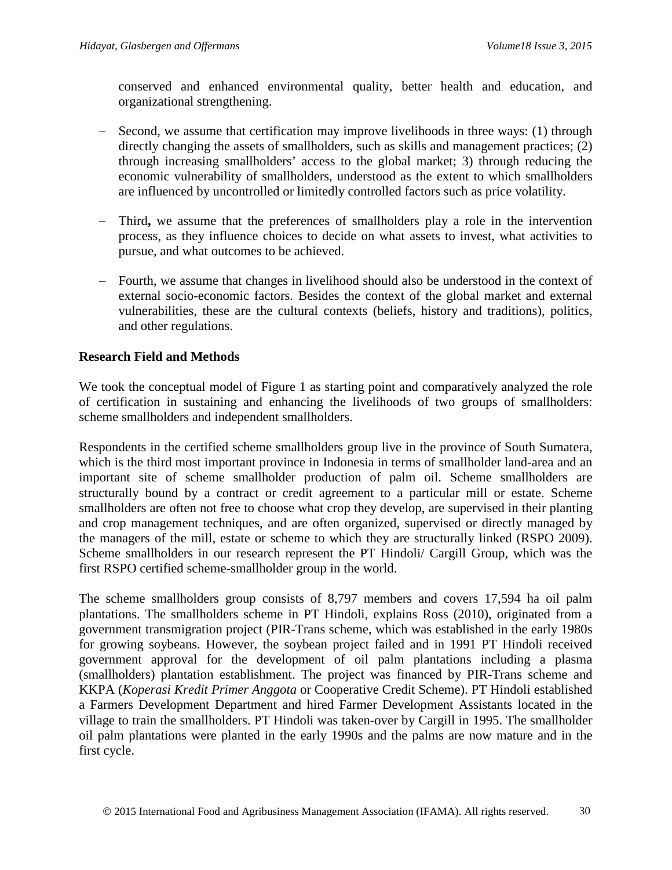conserved and enhanced environmental quality, better health and education, and organizational strengthening.

- − Second, we assume that certification may improve livelihoods in three ways: (1) through directly changing the assets of smallholders, such as skills and management practices; (2) through increasing smallholders' access to the global market; 3) through reducing the economic vulnerability of smallholders, understood as the extent to which smallholders are influenced by uncontrolled or limitedly controlled factors such as price volatility.
- − Third**,** we assume that the preferences of smallholders play a role in the intervention process, as they influence choices to decide on what assets to invest, what activities to pursue, and what outcomes to be achieved.
- − Fourth, we assume that changes in livelihood should also be understood in the context of external socio-economic factors. Besides the context of the global market and external vulnerabilities, these are the cultural contexts (beliefs, history and traditions), politics, and other regulations.

# **Research Field and Methods**

We took the conceptual model of Figure 1 as starting point and comparatively analyzed the role of certification in sustaining and enhancing the livelihoods of two groups of smallholders: scheme smallholders and independent smallholders.

Respondents in the certified scheme smallholders group live in the province of South Sumatera, which is the third most important province in Indonesia in terms of smallholder land-area and an important site of scheme smallholder production of palm oil. Scheme smallholders are structurally bound by a contract or credit agreement to a particular mill or estate. Scheme smallholders are often not free to choose what crop they develop, are supervised in their planting and crop management techniques, and are often organized, supervised or directly managed by the managers of the mill, estate or scheme to which they are structurally linked [\(RSPO 2009\)](#page-22-7). Scheme smallholders in our research represent the PT Hindoli/ Cargill Group, which was the first RSPO certified scheme-smallholder group in the world.

The scheme smallholders group consists of 8,797 members and covers 17,594 ha oil palm plantations. The smallholders scheme in PT Hindoli, explains Ross (2010), originated from a government transmigration project (PIR-Trans scheme, which was established in the early 1980s for growing soybeans. However, the soybean project failed and in 1991 PT Hindoli received government approval for the development of oil palm plantations including a plasma (smallholders) plantation establishment. The project was financed by PIR-Trans scheme and KKPA (*Koperasi Kredit Primer Anggota* or Cooperative Credit Scheme). PT Hindoli established a Farmers Development Department and hired Farmer Development Assistants located in the village to train the smallholders. PT Hindoli was taken-over by Cargill in 1995. The smallholder oil palm plantations were planted in the early 1990s and the palms are now mature and in the first cycle.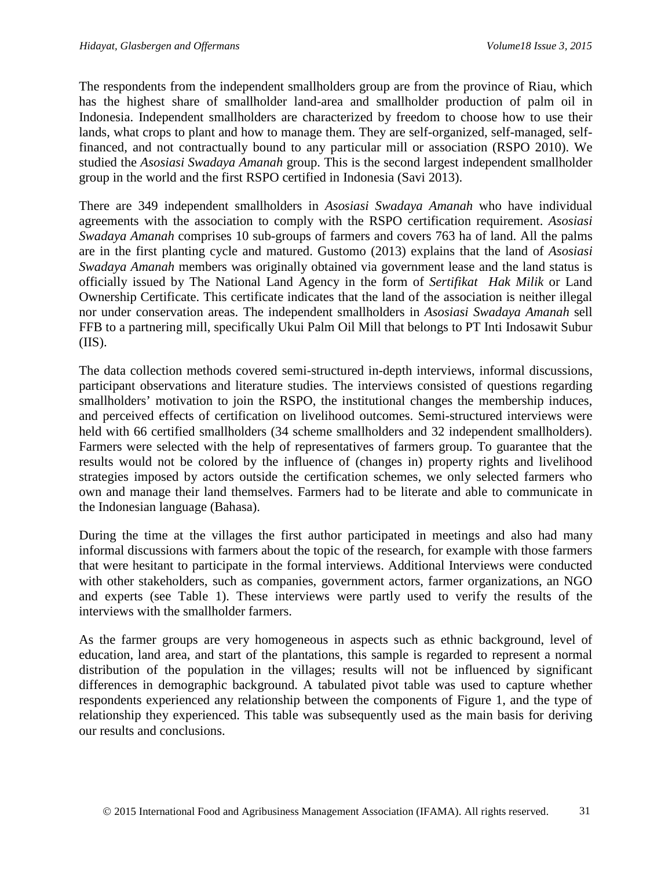The respondents from the independent smallholders group are from the province of Riau, which has the highest share of smallholder land-area and smallholder production of palm oil in Indonesia. Independent smallholders are characterized by freedom to choose how to use their lands, what crops to plant and how to manage them. They are self-organized, self-managed, selffinanced, and not contractually bound to any particular mill or association [\(RSPO 2010\)](#page-22-8). We studied the *Asosiasi Swadaya Amanah* group. This is the second largest independent smallholder group in the world and the first RSPO certified in Indonesia [\(Savi 2013\)](#page-23-7).

There are 349 independent smallholders in *Asosiasi Swadaya Amanah* who have individual agreements with the association to comply with the RSPO certification requirement. *Asosiasi Swadaya Amanah* comprises 10 sub-groups of farmers and covers 763 ha of land. All the palms are in the first planting cycle and matured. [Gustomo \(2013\)](#page-21-7) explains that the land of *Asosiasi Swadaya Amanah* members was originally obtained via government lease and the land status is officially issued by The National Land Agency in the form of *Sertifikat Hak Milik* or Land Ownership Certificate. This certificate indicates that the land of the association is neither illegal nor under conservation areas. The independent smallholders in *Asosiasi Swadaya Amanah* sell FFB to a partnering mill, specifically Ukui Palm Oil Mill that belongs to PT Inti Indosawit Subur (IIS).

The data collection methods covered semi-structured in-depth interviews, informal discussions, participant observations and literature studies. The interviews consisted of questions regarding smallholders' motivation to join the RSPO, the institutional changes the membership induces, and perceived effects of certification on livelihood outcomes. Semi-structured interviews were held with 66 certified smallholders (34 scheme smallholders and 32 independent smallholders). Farmers were selected with the help of representatives of farmers group. To guarantee that the results would not be colored by the influence of (changes in) property rights and livelihood strategies imposed by actors outside the certification schemes, we only selected farmers who own and manage their land themselves. Farmers had to be literate and able to communicate in the Indonesian language (Bahasa).

During the time at the villages the first author participated in meetings and also had many informal discussions with farmers about the topic of the research, for example with those farmers that were hesitant to participate in the formal interviews. Additional Interviews were conducted with other stakeholders, such as companies, government actors, farmer organizations, an NGO and experts (see Table 1). These interviews were partly used to verify the results of the interviews with the smallholder farmers.

As the farmer groups are very homogeneous in aspects such as ethnic background, level of education, land area, and start of the plantations, this sample is regarded to represent a normal distribution of the population in the villages; results will not be influenced by significant differences in demographic background. A tabulated pivot table was used to capture whether respondents experienced any relationship between the components of Figure 1, and the type of relationship they experienced. This table was subsequently used as the main basis for deriving our results and conclusions.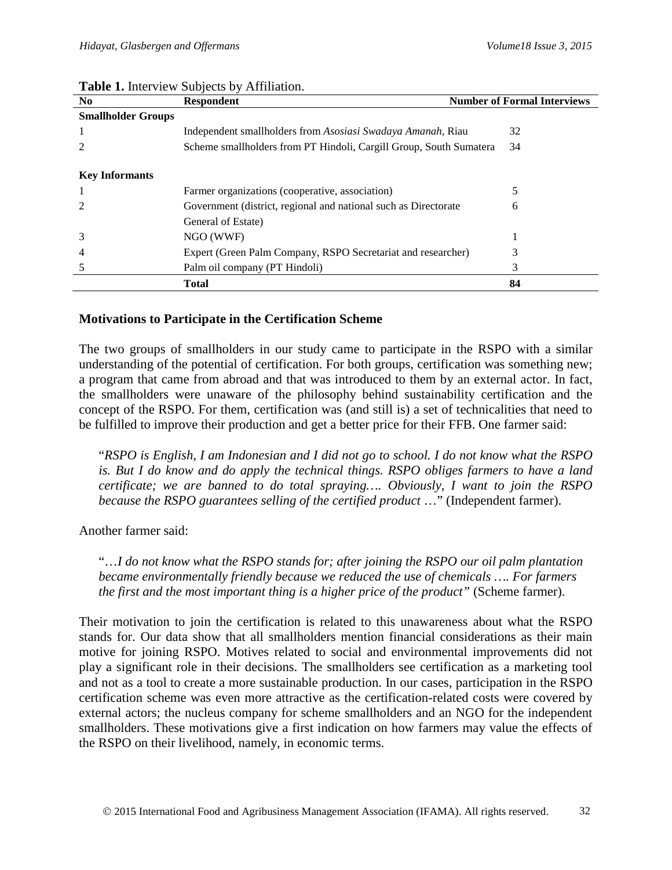| <b>Respondent</b>                               | <b>Number of Formal Interviews</b>                                                                                                                                                                                                                                   |
|-------------------------------------------------|----------------------------------------------------------------------------------------------------------------------------------------------------------------------------------------------------------------------------------------------------------------------|
|                                                 |                                                                                                                                                                                                                                                                      |
|                                                 | 32                                                                                                                                                                                                                                                                   |
|                                                 | 34                                                                                                                                                                                                                                                                   |
|                                                 |                                                                                                                                                                                                                                                                      |
|                                                 |                                                                                                                                                                                                                                                                      |
| Farmer organizations (cooperative, association) |                                                                                                                                                                                                                                                                      |
|                                                 | 6                                                                                                                                                                                                                                                                    |
| General of Estate)                              |                                                                                                                                                                                                                                                                      |
| NGO (WWF)                                       |                                                                                                                                                                                                                                                                      |
|                                                 |                                                                                                                                                                                                                                                                      |
| Palm oil company (PT Hindoli)                   | 3                                                                                                                                                                                                                                                                    |
| <b>Total</b>                                    | 84                                                                                                                                                                                                                                                                   |
|                                                 | Independent smallholders from Asosiasi Swadaya Amanah, Riau<br>Scheme smallholders from PT Hindoli, Cargill Group, South Sumatera<br>Government (district, regional and national such as Directorate<br>Expert (Green Palm Company, RSPO Secretariat and researcher) |

#### **Table 1.** Interview Subjects by Affiliation.

# **Motivations to Participate in the Certification Scheme**

The two groups of smallholders in our study came to participate in the RSPO with a similar understanding of the potential of certification. For both groups, certification was something new; a program that came from abroad and that was introduced to them by an external actor. In fact, the smallholders were unaware of the philosophy behind sustainability certification and the concept of the RSPO. For them, certification was (and still is) a set of technicalities that need to be fulfilled to improve their production and get a better price for their FFB. One farmer said:

"*RSPO is English, I am Indonesian and I did not go to school. I do not know what the RSPO is. But I do know and do apply the technical things. RSPO obliges farmers to have a land certificate; we are banned to do total spraying…. Obviously, I want to join the RSPO because the RSPO guarantees selling of the certified product* ..." (Independent farmer).

Another farmer said:

"…*I do not know what the RSPO stands for; after joining the RSPO our oil palm plantation became environmentally friendly because we reduced the use of chemicals …. For farmers the first and the most important thing is a higher price of the product"* (Scheme farmer).

Their motivation to join the certification is related to this unawareness about what the RSPO stands for. Our data show that all smallholders mention financial considerations as their main motive for joining RSPO. Motives related to social and environmental improvements did not play a significant role in their decisions. The smallholders see certification as a marketing tool and not as a tool to create a more sustainable production. In our cases, participation in the RSPO certification scheme was even more attractive as the certification-related costs were covered by external actors; the nucleus company for scheme smallholders and an NGO for the independent smallholders. These motivations give a first indication on how farmers may value the effects of the RSPO on their livelihood, namely, in economic terms.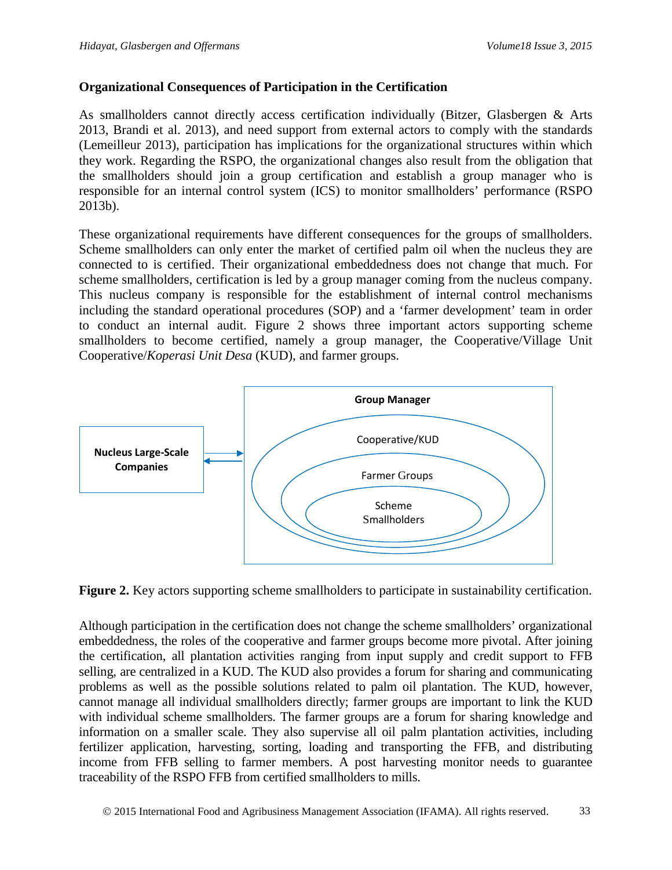# **Organizational Consequences of Participation in the Certification**

As smallholders cannot directly access certification individually [\(Bitzer, Glasbergen](#page-19-8) & Arts [2013,](#page-19-8) [Brandi et al. 2013\)](#page-20-1), and need support from external actors to comply with the standards [\(Lemeilleur 2013\)](#page-21-8), participation has implications for the organizational structures within which they work. Regarding the RSPO, the organizational changes also result from the obligation that the smallholders should join a group certification and establish a group manager who is responsible for an internal control system (ICS) to monitor smallholders' performance [\(RSPO](#page-22-9)  [2013b](#page-22-9)).

These organizational requirements have different consequences for the groups of smallholders. Scheme smallholders can only enter the market of certified palm oil when the nucleus they are connected to is certified. Their organizational embeddedness does not change that much. For scheme smallholders, certification is led by a group manager coming from the nucleus company. This nucleus company is responsible for the establishment of internal control mechanisms including the standard operational procedures (SOP) and a 'farmer development' team in order to conduct an internal audit. Figure 2 shows three important actors supporting scheme smallholders to become certified, namely a group manager, the Cooperative/Village Unit Cooperative/*Koperasi Unit Desa* (KUD), and farmer groups.



**Figure 2.** Key actors supporting scheme smallholders to participate in sustainability certification.

Although participation in the certification does not change the scheme smallholders' organizational embeddedness, the roles of the cooperative and farmer groups become more pivotal. After joining the certification, all plantation activities ranging from input supply and credit support to FFB selling, are centralized in a KUD. The KUD also provides a forum for sharing and communicating problems as well as the possible solutions related to palm oil plantation. The KUD, however, cannot manage all individual smallholders directly; farmer groups are important to link the KUD with individual scheme smallholders. The farmer groups are a forum for sharing knowledge and information on a smaller scale. They also supervise all oil palm plantation activities, including fertilizer application, harvesting, sorting, loading and transporting the FFB, and distributing income from FFB selling to farmer members. A post harvesting monitor needs to guarantee traceability of the RSPO FFB from certified smallholders to mills.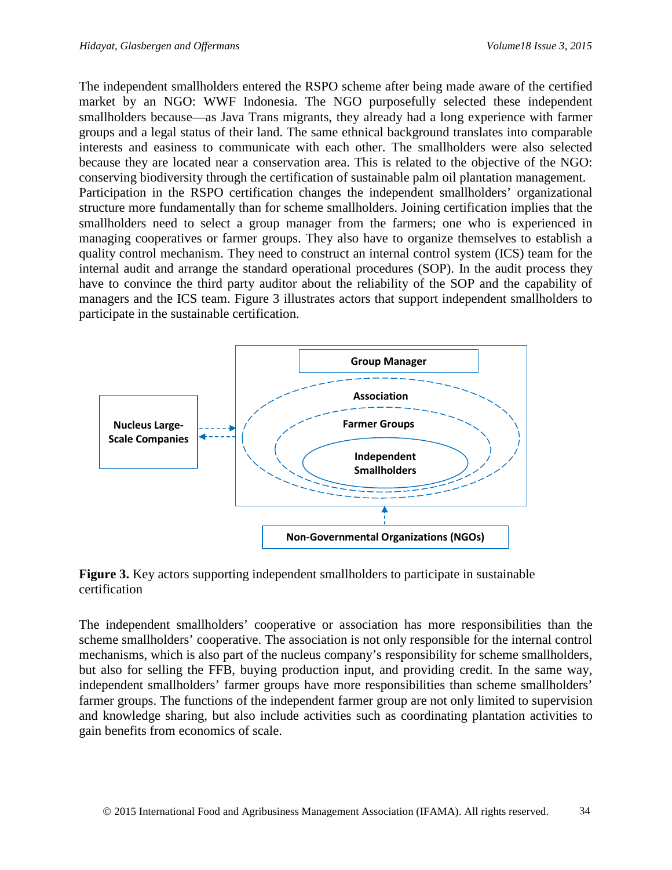The independent smallholders entered the RSPO scheme after being made aware of the certified market by an NGO: WWF Indonesia. The NGO purposefully selected these independent smallholders because—as Java Trans migrants, they already had a long experience with farmer groups and a legal status of their land. The same ethnical background translates into comparable interests and easiness to communicate with each other. The smallholders were also selected because they are located near a conservation area. This is related to the objective of the NGO: conserving biodiversity through the certification of sustainable palm oil plantation management. Participation in the RSPO certification changes the independent smallholders' organizational structure more fundamentally than for scheme smallholders. Joining certification implies that the smallholders need to select a group manager from the farmers; one who is experienced in managing cooperatives or farmer groups. They also have to organize themselves to establish a quality control mechanism. They need to construct an internal control system (ICS) team for the internal audit and arrange the standard operational procedures (SOP). In the audit process they have to convince the third party auditor about the reliability of the SOP and the capability of managers and the ICS team. Figure 3 illustrates actors that support independent smallholders to participate in the sustainable certification.



**Figure 3.** Key actors supporting independent smallholders to participate in sustainable certification

The independent smallholders' cooperative or association has more responsibilities than the scheme smallholders' cooperative. The association is not only responsible for the internal control mechanisms, which is also part of the nucleus company's responsibility for scheme smallholders, but also for selling the FFB, buying production input, and providing credit. In the same way, independent smallholders' farmer groups have more responsibilities than scheme smallholders' farmer groups. The functions of the independent farmer group are not only limited to supervision and knowledge sharing, but also include activities such as coordinating plantation activities to gain benefits from economics of scale.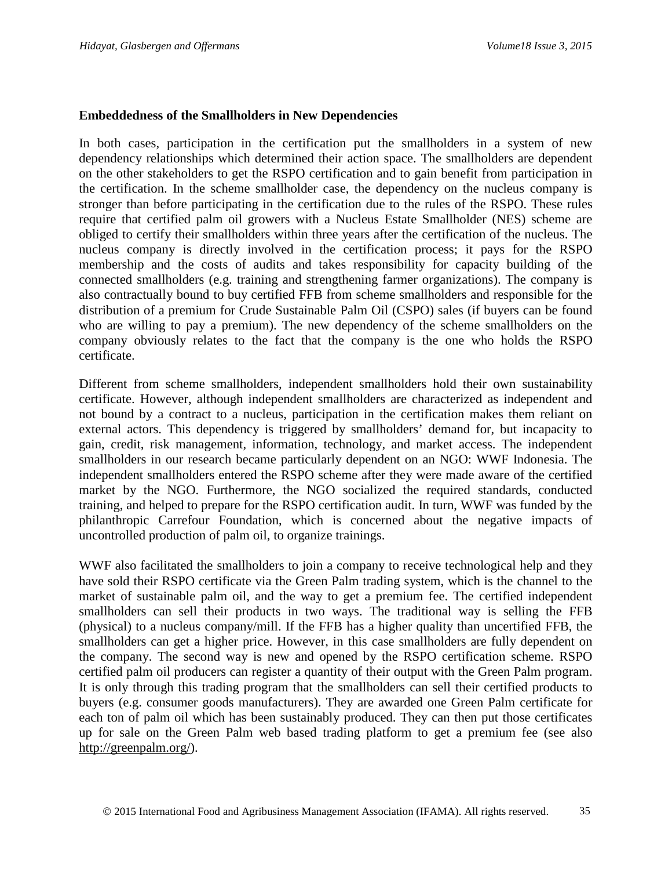## **Embeddedness of the Smallholders in New Dependencies**

In both cases, participation in the certification put the smallholders in a system of new dependency relationships which determined their action space. The smallholders are dependent on the other stakeholders to get the RSPO certification and to gain benefit from participation in the certification. In the scheme smallholder case, the dependency on the nucleus company is stronger than before participating in the certification due to the rules of the RSPO. These rules require that certified palm oil growers with a Nucleus Estate Smallholder (NES) scheme are obliged to certify their smallholders within three years after the certification of the nucleus. The nucleus company is directly involved in the certification process; it pays for the RSPO membership and the costs of audits and takes responsibility for capacity building of the connected smallholders (e.g. training and strengthening farmer organizations). The company is also contractually bound to buy certified FFB from scheme smallholders and responsible for the distribution of a premium for Crude Sustainable Palm Oil (CSPO) sales (if buyers can be found who are willing to pay a premium). The new dependency of the scheme smallholders on the company obviously relates to the fact that the company is the one who holds the RSPO certificate.

Different from scheme smallholders, independent smallholders hold their own sustainability certificate. However, although independent smallholders are characterized as independent and not bound by a contract to a nucleus, participation in the certification makes them reliant on external actors. This dependency is triggered by smallholders' demand for, but incapacity to gain, credit, risk management, information, technology, and market access. The independent smallholders in our research became particularly dependent on an NGO: WWF Indonesia. The independent smallholders entered the RSPO scheme after they were made aware of the certified market by the NGO. Furthermore, the NGO socialized the required standards, conducted training, and helped to prepare for the RSPO certification audit. In turn, WWF was funded by the philanthropic Carrefour Foundation, which is concerned about the negative impacts of uncontrolled production of palm oil, to organize trainings.

WWF also facilitated the smallholders to join a company to receive technological help and they have sold their RSPO certificate via the Green Palm trading system, which is the channel to the market of sustainable palm oil, and the way to get a premium fee. The certified independent smallholders can sell their products in two ways. The traditional way is selling the FFB (physical) to a nucleus company/mill. If the FFB has a higher quality than uncertified FFB, the smallholders can get a higher price. However, in this case smallholders are fully dependent on the company. The second way is new and opened by the RSPO certification scheme. RSPO certified palm oil producers can register a quantity of their output with the Green Palm program. It is only through this trading program that the smallholders can sell their certified products to buyers (e.g. consumer goods manufacturers). They are awarded one Green Palm certificate for each ton of palm oil which has been sustainably produced. They can then put those certificates up for sale on the Green Palm web based trading platform to get a premium fee (see also [http://greenpalm.org/\)](http://greenpalm.org/).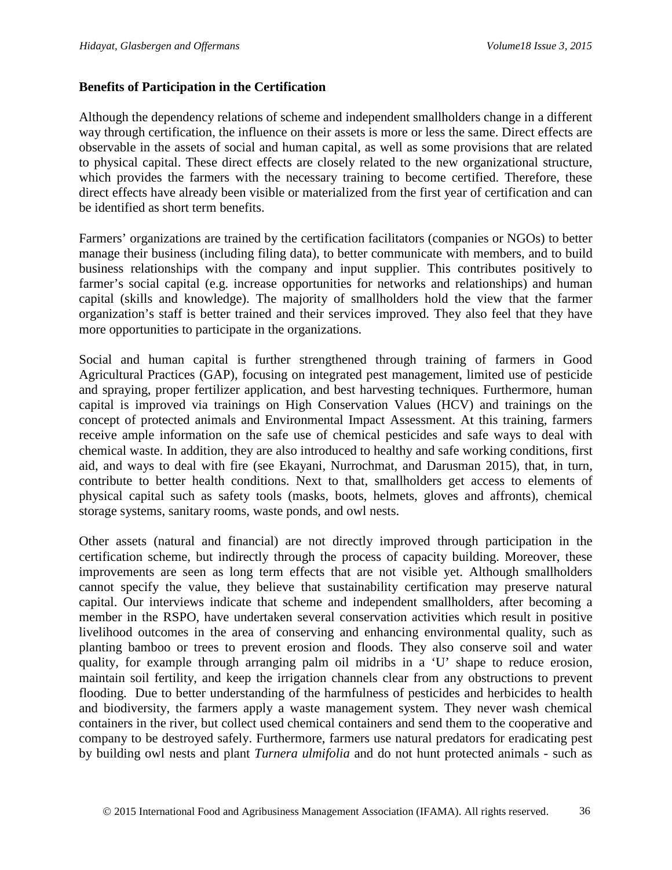## **Benefits of Participation in the Certification**

Although the dependency relations of scheme and independent smallholders change in a different way through certification, the influence on their assets is more or less the same. Direct effects are observable in the assets of social and human capital, as well as some provisions that are related to physical capital. These direct effects are closely related to the new organizational structure, which provides the farmers with the necessary training to become certified. Therefore, these direct effects have already been visible or materialized from the first year of certification and can be identified as short term benefits.

Farmers' organizations are trained by the certification facilitators (companies or NGOs) to better manage their business (including filing data), to better communicate with members, and to build business relationships with the company and input supplier. This contributes positively to farmer's social capital (e.g. increase opportunities for networks and relationships) and human capital (skills and knowledge). The majority of smallholders hold the view that the farmer organization's staff is better trained and their services improved. They also feel that they have more opportunities to participate in the organizations.

Social and human capital is further strengthened through training of farmers in Good Agricultural Practices (GAP), focusing on integrated pest management, limited use of pesticide and spraying, proper fertilizer application, and best harvesting techniques. Furthermore, human capital is improved via trainings on High Conservation Values (HCV) and trainings on the concept of protected animals and Environmental Impact Assessment. At this training, farmers receive ample information on the safe use of chemical pesticides and safe ways to deal with chemical waste. In addition, they are also introduced to healthy and safe working conditions, first aid, and ways to deal with fire [\(see Ekayani, Nurrochmat, and Darusman 2015\)](#page-20-11), that, in turn, contribute to better health conditions. Next to that, smallholders get access to elements of physical capital such as safety tools (masks, boots, helmets, gloves and affronts), chemical storage systems, sanitary rooms, waste ponds, and owl nests.

Other assets (natural and financial) are not directly improved through participation in the certification scheme, but indirectly through the process of capacity building. Moreover, these improvements are seen as long term effects that are not visible yet. Although smallholders cannot specify the value, they believe that sustainability certification may preserve natural capital. Our interviews indicate that scheme and independent smallholders, after becoming a member in the RSPO, have undertaken several conservation activities which result in positive livelihood outcomes in the area of conserving and enhancing environmental quality, such as planting bamboo or trees to prevent erosion and floods. They also conserve soil and water quality, for example through arranging palm oil midribs in a 'U' shape to reduce erosion, maintain soil fertility, and keep the irrigation channels clear from any obstructions to prevent flooding. Due to better understanding of the harmfulness of pesticides and herbicides to health and biodiversity, the farmers apply a waste management system. They never wash chemical containers in the river, but collect used chemical containers and send them to the cooperative and company to be destroyed safely. Furthermore, farmers use natural predators for eradicating pest by building owl nests and plant *Turnera ulmifolia* and do not hunt protected animals - such as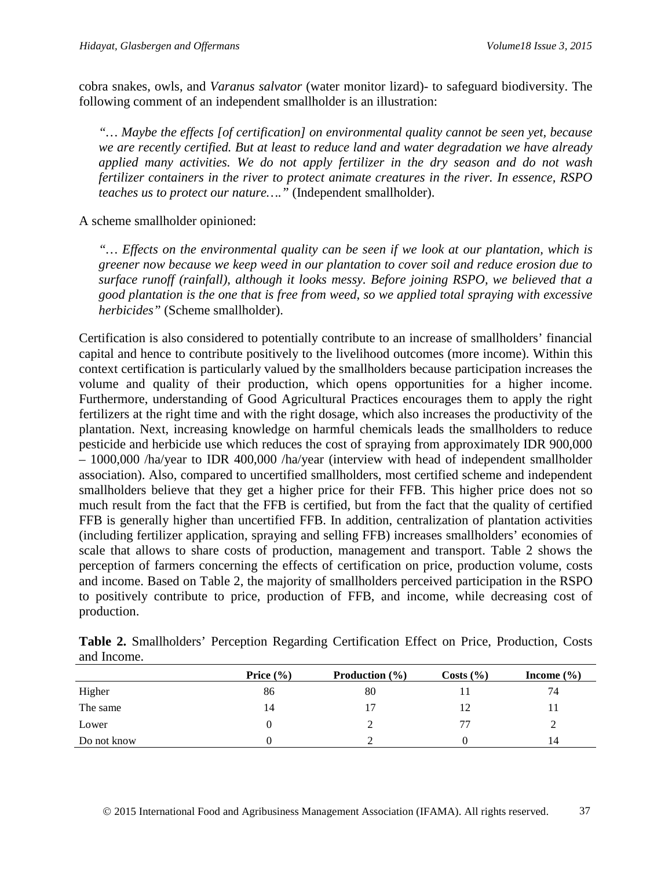cobra snakes, owls, and *Varanus salvator* (water monitor lizard)- to safeguard biodiversity. The following comment of an independent smallholder is an illustration:

*"… Maybe the effects [of certification] on environmental quality cannot be seen yet, because we are recently certified. But at least to reduce land and water degradation we have already applied many activities. We do not apply fertilizer in the dry season and do not wash fertilizer containers in the river to protect animate creatures in the river. In essence, RSPO teaches us to protect our nature…."* (Independent smallholder).

A scheme smallholder opinioned:

*"… Effects on the environmental quality can be seen if we look at our plantation, which is greener now because we keep weed in our plantation to cover soil and reduce erosion due to surface runoff (rainfall), although it looks messy. Before joining RSPO, we believed that a good plantation is the one that is free from weed, so we applied total spraying with excessive herbicides"* (Scheme smallholder).

Certification is also considered to potentially contribute to an increase of smallholders' financial capital and hence to contribute positively to the livelihood outcomes (more income). Within this context certification is particularly valued by the smallholders because participation increases the volume and quality of their production, which opens opportunities for a higher income. Furthermore, understanding of Good Agricultural Practices encourages them to apply the right fertilizers at the right time and with the right dosage, which also increases the productivity of the plantation. Next, increasing knowledge on harmful chemicals leads the smallholders to reduce pesticide and herbicide use which reduces the cost of spraying from approximately IDR 900,000 – 1000,000 /ha/year to IDR 400,000 /ha/year (interview with head of independent smallholder association). Also, compared to uncertified smallholders, most certified scheme and independent smallholders believe that they get a higher price for their FFB. This higher price does not so much result from the fact that the FFB is certified, but from the fact that the quality of certified FFB is generally higher than uncertified FFB. In addition, centralization of plantation activities (including fertilizer application, spraying and selling FFB) increases smallholders' economies of scale that allows to share costs of production, management and transport. Table 2 shows the perception of farmers concerning the effects of certification on price, production volume, costs and income. Based on Table 2, the majority of smallholders perceived participation in the RSPO to positively contribute to price, production of FFB, and income, while decreasing cost of production.

|             | Price $(\% )$ | <b>Production</b> $(\%)$ | Costs (%) | Income $(\% )$ |
|-------------|---------------|--------------------------|-----------|----------------|
| Higher      | 86            | 80                       |           | 74             |
| The same    | 14            | 17                       | 12        |                |
| Lower       |               |                          | 77        |                |
| Do not know |               |                          |           | 14             |

| Table 2. Smallholders' Perception Regarding Certification Effect on Price, Production, Costs |  |  |  |  |
|----------------------------------------------------------------------------------------------|--|--|--|--|
| and Income.                                                                                  |  |  |  |  |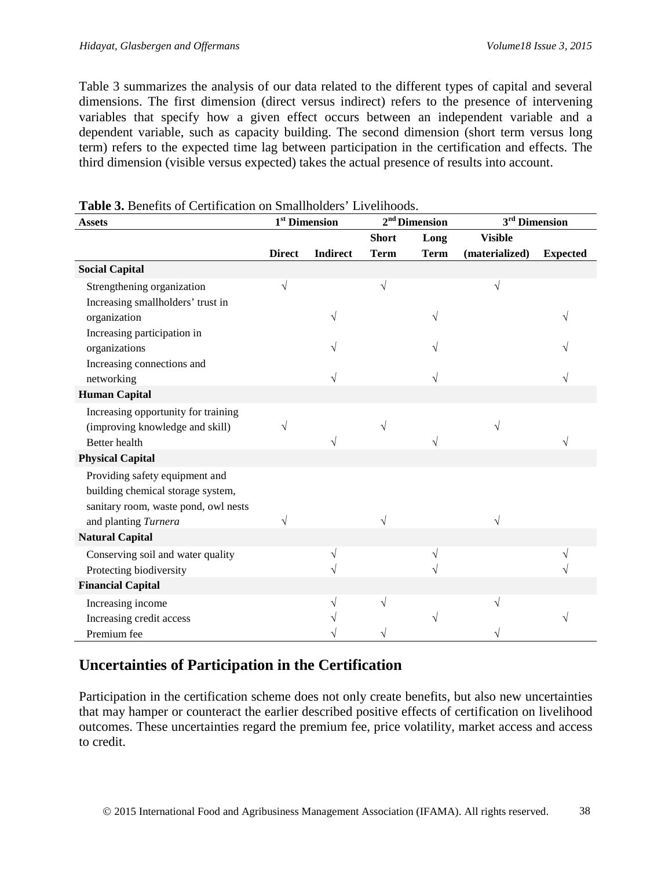Table 3 summarizes the analysis of our data related to the different types of capital and several dimensions. The first dimension (direct versus indirect) refers to the presence of intervening variables that specify how a given effect occurs between an independent variable and a dependent variable, such as capacity building. The second dimension (short term versus long term) refers to the expected time lag between participation in the certification and effects. The third dimension (visible versus expected) takes the actual presence of results into account.

| <b>Assets</b>                        | 1 <sup>st</sup> Dimension |                 | 2 <sup>nd</sup> Dimension |             | $\boldsymbol{3}^{\rm rd}$ Dimension |                 |
|--------------------------------------|---------------------------|-----------------|---------------------------|-------------|-------------------------------------|-----------------|
|                                      |                           |                 | <b>Short</b>              | Long        | <b>Visible</b>                      |                 |
|                                      | <b>Direct</b>             | <b>Indirect</b> | <b>Term</b>               | <b>Term</b> | (materialized)                      | <b>Expected</b> |
| <b>Social Capital</b>                |                           |                 |                           |             |                                     |                 |
| Strengthening organization           |                           |                 | V                         |             | $\sqrt{}$                           |                 |
| Increasing smallholders' trust in    |                           |                 |                           |             |                                     |                 |
| organization                         |                           |                 |                           |             |                                     |                 |
| Increasing participation in          |                           |                 |                           |             |                                     |                 |
| organizations                        |                           |                 |                           |             |                                     |                 |
| Increasing connections and           |                           |                 |                           |             |                                     |                 |
| networking                           |                           |                 |                           |             |                                     |                 |
| <b>Human Capital</b>                 |                           |                 |                           |             |                                     |                 |
| Increasing opportunity for training  |                           |                 |                           |             |                                     |                 |
| (improving knowledge and skill)      |                           |                 |                           |             |                                     |                 |
| <b>Better</b> health                 |                           |                 |                           |             |                                     |                 |
| <b>Physical Capital</b>              |                           |                 |                           |             |                                     |                 |
| Providing safety equipment and       |                           |                 |                           |             |                                     |                 |
| building chemical storage system,    |                           |                 |                           |             |                                     |                 |
| sanitary room, waste pond, owl nests |                           |                 |                           |             |                                     |                 |
| and planting Turnera                 |                           |                 |                           |             | V                                   |                 |
| <b>Natural Capital</b>               |                           |                 |                           |             |                                     |                 |
| Conserving soil and water quality    |                           |                 |                           |             |                                     |                 |
| Protecting biodiversity              |                           |                 |                           |             |                                     |                 |
| <b>Financial Capital</b>             |                           |                 |                           |             |                                     |                 |
| Increasing income                    |                           |                 | V                         |             | V                                   |                 |
| Increasing credit access             |                           |                 |                           |             |                                     |                 |
| Premium fee                          |                           |                 |                           |             |                                     |                 |

#### **Table 3.** Benefits of Certification on Smallholders' Livelihoods.

# **Uncertainties of Participation in the Certification**

Participation in the certification scheme does not only create benefits, but also new uncertainties that may hamper or counteract the earlier described positive effects of certification on livelihood outcomes. These uncertainties regard the premium fee, price volatility, market access and access to credit.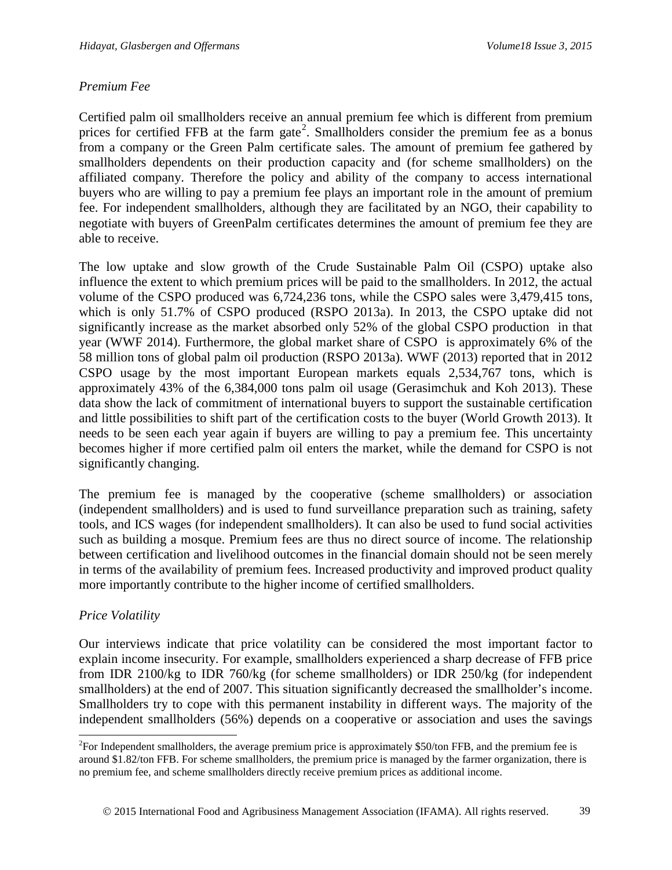### *Premium Fee*

Certified palm oil smallholders receive an annual premium fee which is different from premium prices for certified FFB at the farm gate<sup>[2](#page-14-0)</sup>. Smallholders consider the premium fee as a bonus from a company or the Green Palm certificate sales. The amount of premium fee gathered by smallholders dependents on their production capacity and (for scheme smallholders) on the affiliated company. Therefore the policy and ability of the company to access international buyers who are willing to pay a premium fee plays an important role in the amount of premium fee. For independent smallholders, although they are facilitated by an NGO, their capability to negotiate with buyers of GreenPalm certificates determines the amount of premium fee they are able to receive.

The low uptake and slow growth of the Crude Sustainable Palm Oil (CSPO) uptake also influence the extent to which premium prices will be paid to the smallholders. In 2012, the actual volume of the CSPO produced was 6,724,236 tons, while the CSPO sales were 3,479,415 tons, which is only 51.7% of CSPO produced [\(RSPO 2013a\)](#page-22-10). In 2013, the CSPO uptake did not significantly increase as the market absorbed only 52% of the global CSPO production in that year [\(WWF 2014\)](#page-23-8). Furthermore, the global market share of CSPO is approximately 6% of the 58 million tons of global palm oil production [\(RSPO 2013a\)](#page-22-10). [WWF \(2013\)](#page-23-3) reported that in 2012 CSPO usage by the most important European markets equals 2,534,767 tons, which is approximately 43% of the 6,384,000 tons palm oil usage [\(Gerasimchuk and Koh 2013\)](#page-21-9). These data show the lack of commitment of international buyers to support the sustainable certification and little possibilities to shift part of the certification costs to the buyer [\(World Growth 2013\)](#page-23-9). It needs to be seen each year again if buyers are willing to pay a premium fee. This uncertainty becomes higher if more certified palm oil enters the market, while the demand for CSPO is not significantly changing.

The premium fee is managed by the cooperative (scheme smallholders) or association (independent smallholders) and is used to fund surveillance preparation such as training, safety tools, and ICS wages (for independent smallholders). It can also be used to fund social activities such as building a mosque. Premium fees are thus no direct source of income. The relationship between certification and livelihood outcomes in the financial domain should not be seen merely in terms of the availability of premium fees. Increased productivity and improved product quality more importantly contribute to the higher income of certified smallholders.

### *Price Volatility*

Our interviews indicate that price volatility can be considered the most important factor to explain income insecurity. For example, smallholders experienced a sharp decrease of FFB price from IDR 2100/kg to IDR 760/kg (for scheme smallholders) or IDR 250/kg (for independent smallholders) at the end of 2007. This situation significantly decreased the smallholder's income. Smallholders try to cope with this permanent instability in different ways. The majority of the independent smallholders (56%) depends on a cooperative or association and uses the savings

<span id="page-14-0"></span><sup>&</sup>lt;sup>2</sup>For Independent smallholders, the average premium price is approximately \$50/ton FFB, and the premium fee is around \$1.82/ton FFB. For scheme smallholders, the premium price is managed by the farmer organization, there is no premium fee, and scheme smallholders directly receive premium prices as additional income.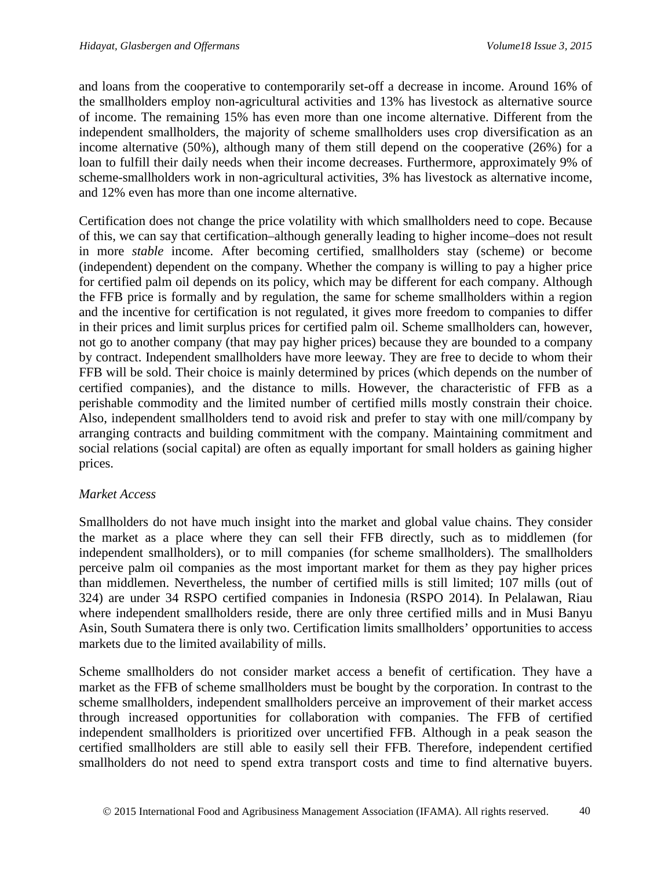and loans from the cooperative to contemporarily set-off a decrease in income. Around 16% of the smallholders employ non-agricultural activities and 13% has livestock as alternative source of income. The remaining 15% has even more than one income alternative. Different from the independent smallholders, the majority of scheme smallholders uses crop diversification as an income alternative (50%), although many of them still depend on the cooperative (26%) for a loan to fulfill their daily needs when their income decreases. Furthermore, approximately 9% of scheme-smallholders work in non-agricultural activities, 3% has livestock as alternative income, and 12% even has more than one income alternative.

Certification does not change the price volatility with which smallholders need to cope. Because of this, we can say that certification–although generally leading to higher income–does not result in more *stable* income. After becoming certified, smallholders stay (scheme) or become (independent) dependent on the company. Whether the company is willing to pay a higher price for certified palm oil depends on its policy, which may be different for each company. Although the FFB price is formally and by regulation, the same for scheme smallholders within a region and the incentive for certification is not regulated, it gives more freedom to companies to differ in their prices and limit surplus prices for certified palm oil. Scheme smallholders can, however, not go to another company (that may pay higher prices) because they are bounded to a company by contract. Independent smallholders have more leeway. They are free to decide to whom their FFB will be sold. Their choice is mainly determined by prices (which depends on the number of certified companies), and the distance to mills. However, the characteristic of FFB as a perishable commodity and the limited number of certified mills mostly constrain their choice. Also, independent smallholders tend to avoid risk and prefer to stay with one mill/company by arranging contracts and building commitment with the company. Maintaining commitment and social relations (social capital) are often as equally important for small holders as gaining higher prices.

### *Market Access*

Smallholders do not have much insight into the market and global value chains. They consider the market as a place where they can sell their FFB directly, such as to middlemen (for independent smallholders), or to mill companies (for scheme smallholders). The smallholders perceive palm oil companies as the most important market for them as they pay higher prices than middlemen. Nevertheless, the number of certified mills is still limited; 107 mills (out of 324) are under 34 RSPO certified companies in Indonesia [\(RSPO 2014\)](#page-22-11). In Pelalawan, Riau where independent smallholders reside, there are only three certified mills and in Musi Banyu Asin, South Sumatera there is only two. Certification limits smallholders' opportunities to access markets due to the limited availability of mills.

Scheme smallholders do not consider market access a benefit of certification. They have a market as the FFB of scheme smallholders must be bought by the corporation. In contrast to the scheme smallholders, independent smallholders perceive an improvement of their market access through increased opportunities for collaboration with companies. The FFB of certified independent smallholders is prioritized over uncertified FFB. Although in a peak season the certified smallholders are still able to easily sell their FFB. Therefore, independent certified smallholders do not need to spend extra transport costs and time to find alternative buyers.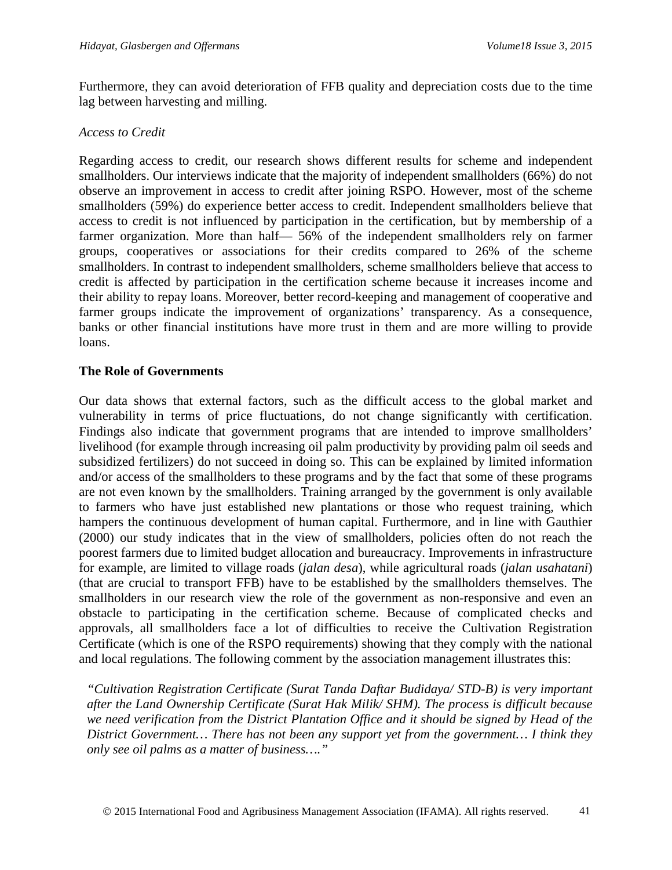Furthermore, they can avoid deterioration of FFB quality and depreciation costs due to the time lag between harvesting and milling.

### *Access to Credit*

Regarding access to credit, our research shows different results for scheme and independent smallholders. Our interviews indicate that the majority of independent smallholders (66%) do not observe an improvement in access to credit after joining RSPO. However, most of the scheme smallholders (59%) do experience better access to credit. Independent smallholders believe that access to credit is not influenced by participation in the certification, but by membership of a farmer organization. More than half— 56% of the independent smallholders rely on farmer groups, cooperatives or associations for their credits compared to 26% of the scheme smallholders. In contrast to independent smallholders, scheme smallholders believe that access to credit is affected by participation in the certification scheme because it increases income and their ability to repay loans. Moreover, better record-keeping and management of cooperative and farmer groups indicate the improvement of organizations' transparency. As a consequence, banks or other financial institutions have more trust in them and are more willing to provide loans.

### **The Role of Governments**

Our data shows that external factors, such as the difficult access to the global market and vulnerability in terms of price fluctuations, do not change significantly with certification. Findings also indicate that government programs that are intended to improve smallholders' livelihood (for example through increasing oil palm productivity by providing palm oil seeds and subsidized fertilizers) do not succeed in doing so. This can be explained by limited information and/or access of the smallholders to these programs and by the fact that some of these programs are not even known by the smallholders. Training arranged by the government is only available to farmers who have just established new plantations or those who request training, which hampers the continuous development of human capital. Furthermore, and in line with [Gauthier](#page-21-10)  (2000) our study indicates that in the view of smallholders, policies often do not reach the poorest farmers due to limited budget allocation and bureaucracy. Improvements in infrastructure for example, are limited to village roads (*jalan desa*), while agricultural roads (*jalan usahatani*) (that are crucial to transport FFB) have to be established by the smallholders themselves. The smallholders in our research view the role of the government as non-responsive and even an obstacle to participating in the certification scheme. Because of complicated checks and approvals, all smallholders face a lot of difficulties to receive the Cultivation Registration Certificate (which is one of the RSPO requirements) showing that they comply with the national and local regulations. The following comment by the association management illustrates this:

*"Cultivation Registration Certificate (Surat Tanda Daftar Budidaya/ STD-B) is very important after the Land Ownership Certificate (Surat Hak Milik/ SHM). The process is difficult because we need verification from the District Plantation Office and it should be signed by Head of the District Government… There has not been any support yet from the government… I think they only see oil palms as a matter of business…."*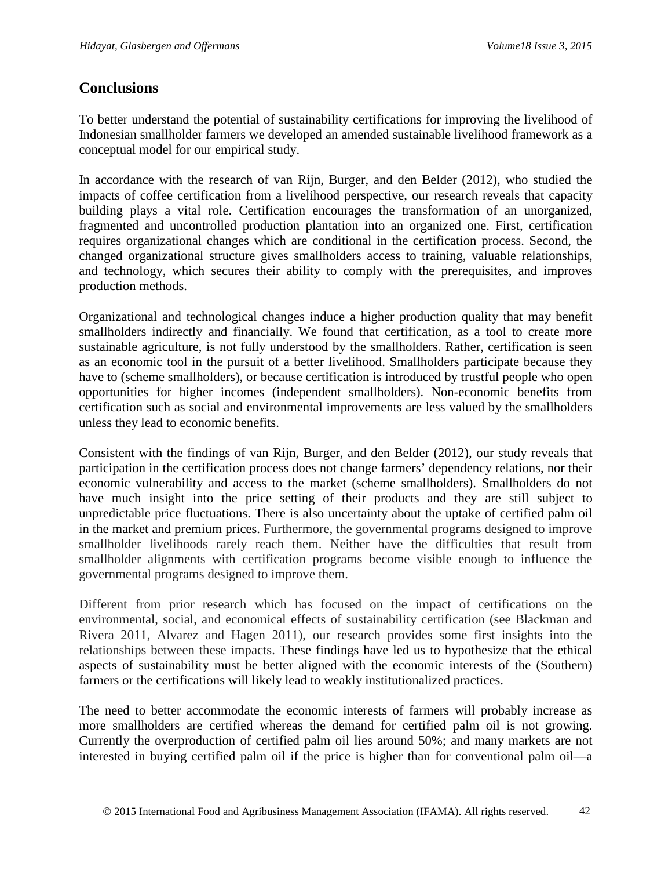# **Conclusions**

To better understand the potential of sustainability certifications for improving the livelihood of Indonesian smallholder farmers we developed an amended sustainable livelihood framework as a conceptual model for our empirical study.

In accordance with the research of [van Rijn, Burger, and den Belder \(2012\),](#page-23-4) who studied the impacts of coffee certification from a livelihood perspective, our research reveals that capacity building plays a vital role. Certification encourages the transformation of an unorganized, fragmented and uncontrolled production plantation into an organized one. First, certification requires organizational changes which are conditional in the certification process. Second, the changed organizational structure gives smallholders access to training, valuable relationships, and technology, which secures their ability to comply with the prerequisites, and improves production methods.

Organizational and technological changes induce a higher production quality that may benefit smallholders indirectly and financially. We found that certification, as a tool to create more sustainable agriculture, is not fully understood by the smallholders. Rather, certification is seen as an economic tool in the pursuit of a better livelihood. Smallholders participate because they have to (scheme smallholders), or because certification is introduced by trustful people who open opportunities for higher incomes (independent smallholders). Non-economic benefits from certification such as social and environmental improvements are less valued by the smallholders unless they lead to economic benefits.

Consistent with the findings of [van Rijn, Burger, and den Belder \(2012\),](#page-23-4) our study reveals that participation in the certification process does not change farmers' dependency relations, nor their economic vulnerability and access to the market (scheme smallholders). Smallholders do not have much insight into the price setting of their products and they are still subject to unpredictable price fluctuations. There is also uncertainty about the uptake of certified palm oil in the market and premium prices. Furthermore, the governmental programs designed to improve smallholder livelihoods rarely reach them. Neither have the difficulties that result from smallholder alignments with certification programs become visible enough to influence the governmental programs designed to improve them.

Different from prior research which has focused on the impact of certifications on the environmental, social, and economical effects of sustainability certification (see Blackman and Rivera 2011, Alvarez and Hagen 2011), our research provides some first insights into the relationships between these impacts. These findings have led us to hypothesize that the ethical aspects of sustainability must be better aligned with the economic interests of the (Southern) farmers or the certifications will likely lead to weakly institutionalized practices.

The need to better accommodate the economic interests of farmers will probably increase as more smallholders are certified whereas the demand for certified palm oil is not growing. Currently the overproduction of certified palm oil lies around 50%; and many markets are not interested in buying certified palm oil if the price is higher than for conventional palm oil—a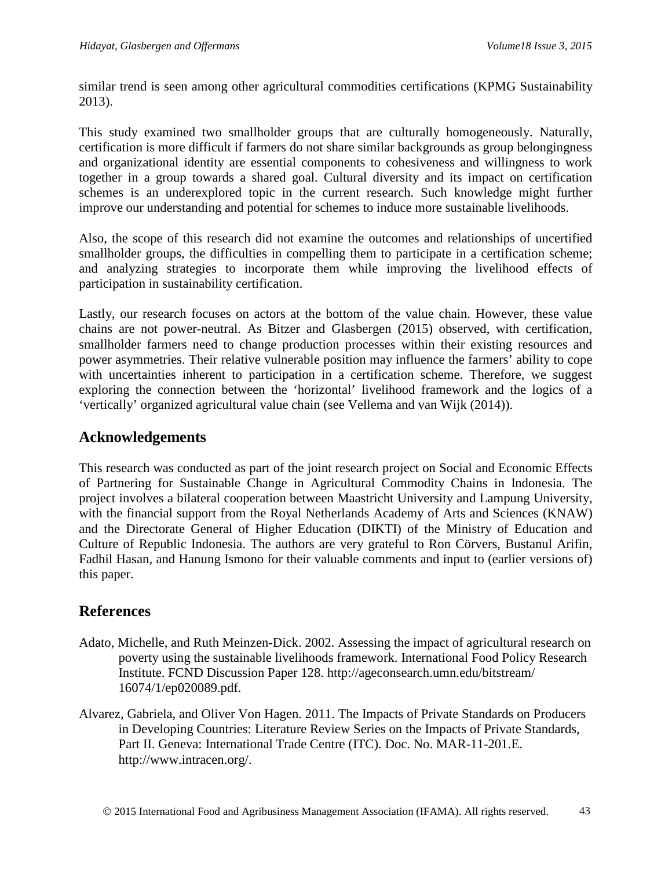similar trend is seen among other agricultural commodities certifications (KPMG Sustainability 2013).

This study examined two smallholder groups that are culturally homogeneously. Naturally, certification is more difficult if farmers do not share similar backgrounds as group belongingness and organizational identity are essential components to cohesiveness and willingness to work together in a group towards a shared goal. Cultural diversity and its impact on certification schemes is an underexplored topic in the current research. Such knowledge might further improve our understanding and potential for schemes to induce more sustainable livelihoods.

Also, the scope of this research did not examine the outcomes and relationships of uncertified smallholder groups, the difficulties in compelling them to participate in a certification scheme; and analyzing strategies to incorporate them while improving the livelihood effects of participation in sustainability certification.

Lastly, our research focuses on actors at the bottom of the value chain. However, these value chains are not power-neutral. As Bitzer and Glasbergen (2015) observed, with certification, smallholder farmers need to change production processes within their existing resources and power asymmetries. Their relative vulnerable position may influence the farmers' ability to cope with uncertainties inherent to participation in a certification scheme. Therefore, we suggest exploring the connection between the 'horizontal' livelihood framework and the logics of a 'vertically' organized agricultural value chain (see Vellema and van Wijk (2014)).

# **Acknowledgements**

This research was conducted as part of the joint research project on Social and Economic Effects of Partnering for Sustainable Change in Agricultural Commodity Chains in Indonesia. The project involves a bilateral cooperation between Maastricht University and Lampung University, with the financial support from the Royal Netherlands Academy of Arts and Sciences (KNAW) and the Directorate General of Higher Education (DIKTI) of the Ministry of Education and Culture of Republic Indonesia. The authors are very grateful to Ron Cörvers, Bustanul Arifin, Fadhil Hasan, and Hanung Ismono for their valuable comments and input to (earlier versions of) this paper.

# **References**

- <span id="page-18-0"></span>Adato, Michelle, and Ruth Meinzen-Dick. 2002. Assessing the impact of agricultural research on poverty using the sustainable livelihoods framework. International Food Policy Research Institute. FCND Discussion Paper 128. http://ageconsearch.umn.edu/bitstream/ 16074/1/ep020089.pdf.
- <span id="page-18-1"></span>Alvarez, Gabriela, and Oliver Von Hagen. 2011. The Impacts of Private Standards on Producers in Developing Countries: Literature Review Series on the Impacts of Private Standards, Part II. Geneva: International Trade Centre (ITC). Doc. No. MAR-11-201.E. http://www.intracen.org/.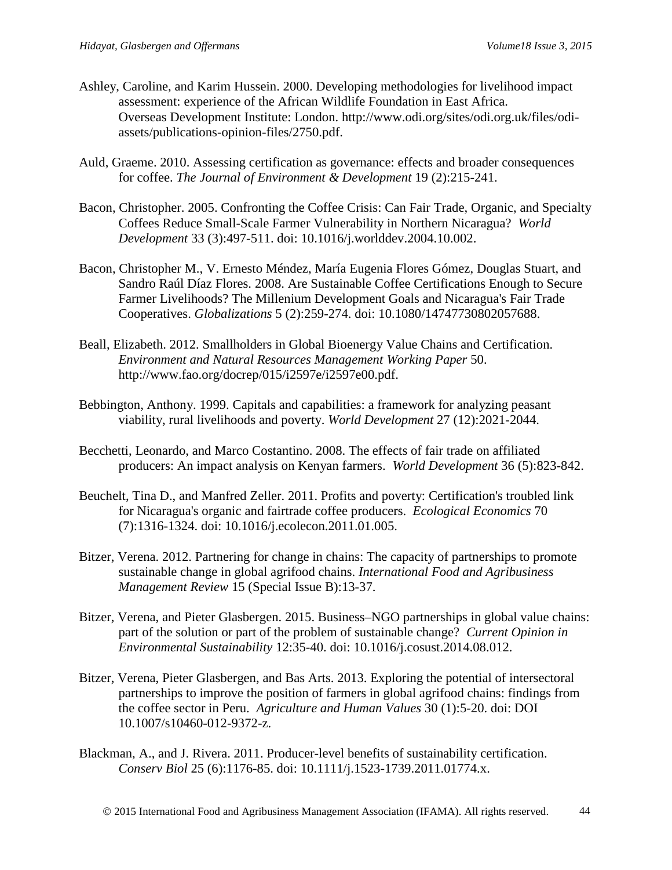- Ashley, Caroline, and Karim Hussein. 2000. Developing methodologies for livelihood impact assessment: experience of the African Wildlife Foundation in East Africa. Overseas Development Institute: London. http://www.odi.org/sites/odi.org.uk/files/odiassets/publications-opinion-files/2750.pdf.
- <span id="page-19-0"></span>Auld, Graeme. 2010. Assessing certification as governance: effects and broader consequences for coffee. *The Journal of Environment & Development* 19 (2):215-241.
- <span id="page-19-3"></span>Bacon, Christopher. 2005. Confronting the Coffee Crisis: Can Fair Trade, Organic, and Specialty Coffees Reduce Small-Scale Farmer Vulnerability in Northern Nicaragua? *World Development* 33 (3):497-511. doi: 10.1016/j.worlddev.2004.10.002.
- <span id="page-19-5"></span>Bacon, Christopher M., V. Ernesto Méndez, María Eugenia Flores Gómez, Douglas Stuart, and Sandro Raúl Díaz Flores. 2008. Are Sustainable Coffee Certifications Enough to Secure Farmer Livelihoods? The Millenium Development Goals and Nicaragua's Fair Trade Cooperatives. *Globalizations* 5 (2):259-274. doi: 10.1080/14747730802057688.
- <span id="page-19-6"></span>Beall, Elizabeth. 2012. Smallholders in Global Bioenergy Value Chains and Certification. *Environment and Natural Resources Management Working Paper* 50. http://www.fao.org/docrep/015/i2597e/i2597e00.pdf.
- <span id="page-19-7"></span>Bebbington, Anthony. 1999. Capitals and capabilities: a framework for analyzing peasant viability, rural livelihoods and poverty. *World Development* 27 (12):2021-2044.
- <span id="page-19-2"></span>Becchetti, Leonardo, and Marco Costantino. 2008. The effects of fair trade on affiliated producers: An impact analysis on Kenyan farmers. *World Development* 36 (5):823-842.
- <span id="page-19-4"></span>Beuchelt, Tina D., and Manfred Zeller. 2011. Profits and poverty: Certification's troubled link for Nicaragua's organic and fairtrade coffee producers. *Ecological Economics* 70 (7):1316-1324. doi: 10.1016/j.ecolecon.2011.01.005.
- <span id="page-19-1"></span>Bitzer, Verena. 2012. Partnering for change in chains: The capacity of partnerships to promote sustainable change in global agrifood chains. *International Food and Agribusiness Management Review* 15 (Special Issue B):13-37.
- Bitzer, Verena, and Pieter Glasbergen. 2015. Business–NGO partnerships in global value chains: part of the solution or part of the problem of sustainable change? *Current Opinion in Environmental Sustainability* 12:35-40. doi: 10.1016/j.cosust.2014.08.012.
- <span id="page-19-8"></span>Bitzer, Verena, Pieter Glasbergen, and Bas Arts. 2013. Exploring the potential of intersectoral partnerships to improve the position of farmers in global agrifood chains: findings from the coffee sector in Peru. *Agriculture and Human Values* 30 (1):5-20. doi: DOI 10.1007/s10460-012-9372-z.
- Blackman, A., and J. Rivera. 2011. Producer-level benefits of sustainability certification. *Conserv Biol* 25 (6):1176-85. doi: 10.1111/j.1523-1739.2011.01774.x.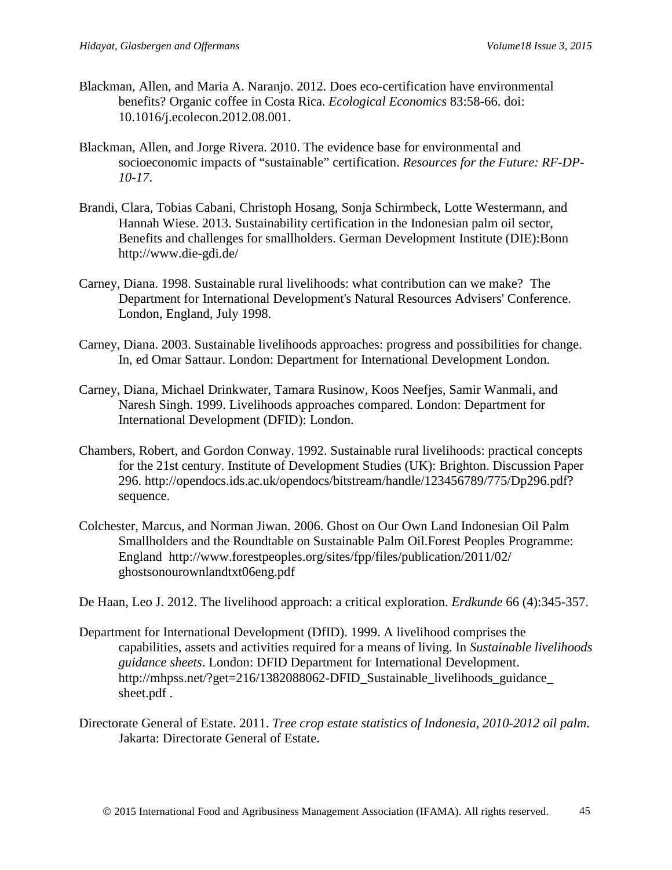- <span id="page-20-2"></span>Blackman, Allen, and Maria A. Naranjo. 2012. Does eco-certification have environmental benefits? Organic coffee in Costa Rica. *Ecological Economics* 83:58-66. doi: 10.1016/j.ecolecon.2012.08.001.
- <span id="page-20-0"></span>Blackman, Allen, and Jorge Rivera. 2010. The evidence base for environmental and socioeconomic impacts of "sustainable" certification. *Resources for the Future: RF-DP-10-17*.
- <span id="page-20-1"></span>Brandi, Clara, Tobias Cabani, Christoph Hosang, Sonja Schirmbeck, Lotte Westermann, and Hannah Wiese. 2013. Sustainability certification in the Indonesian palm oil sector, Benefits and challenges for smallholders. German Development Institute (DIE):Bonn http://www.die-gdi.de/
- <span id="page-20-9"></span><span id="page-20-6"></span>Carney, Diana. 1998. Sustainable rural livelihoods: what contribution can we make? The Department for International Development's Natural Resources Advisers' Conference. London, England, July 1998.
- Carney, Diana. 2003. Sustainable livelihoods approaches: progress and possibilities for change. In, ed Omar Sattaur. London: Department for International Development London.
- <span id="page-20-8"></span>Carney, Diana, Michael Drinkwater, Tamara Rusinow, Koos Neefjes, Samir Wanmali, and Naresh Singh. 1999. Livelihoods approaches compared. London: Department for International Development (DFID): London.
- <span id="page-20-5"></span>Chambers, Robert, and Gordon Conway. 1992. Sustainable rural livelihoods: practical concepts for the 21st century. Institute of Development Studies (UK): Brighton. Discussion Paper 296. http://opendocs.ids.ac.uk/opendocs/bitstream/handle/123456789/775/Dp296.pdf? sequence.
- <span id="page-20-3"></span>Colchester, Marcus, and Norman Jiwan. 2006. Ghost on Our Own Land Indonesian Oil Palm Smallholders and the Roundtable on Sustainable Palm Oil.Forest Peoples Programme: England http://www.forestpeoples.org/sites/fpp/files/publication/2011/02/ ghostsonourownlandtxt06eng.pdf

<span id="page-20-10"></span><span id="page-20-7"></span>De Haan, Leo J. 2012. The livelihood approach: a critical exploration. *Erdkunde* 66 (4):345-357.

- Department for International Development (DfID). 1999. A livelihood comprises the capabilities, assets and activities required for a means of living. In *Sustainable livelihoods guidance sheets*. London: DFID Department for International Development. http://mhpss.net/?get=216/1382088062-DFID\_Sustainable\_livelihoods\_guidance sheet.pdf .
- <span id="page-20-11"></span><span id="page-20-4"></span>Directorate General of Estate. 2011. *Tree crop estate statistics of Indonesia, 2010-2012 oil palm*. Jakarta: Directorate General of Estate.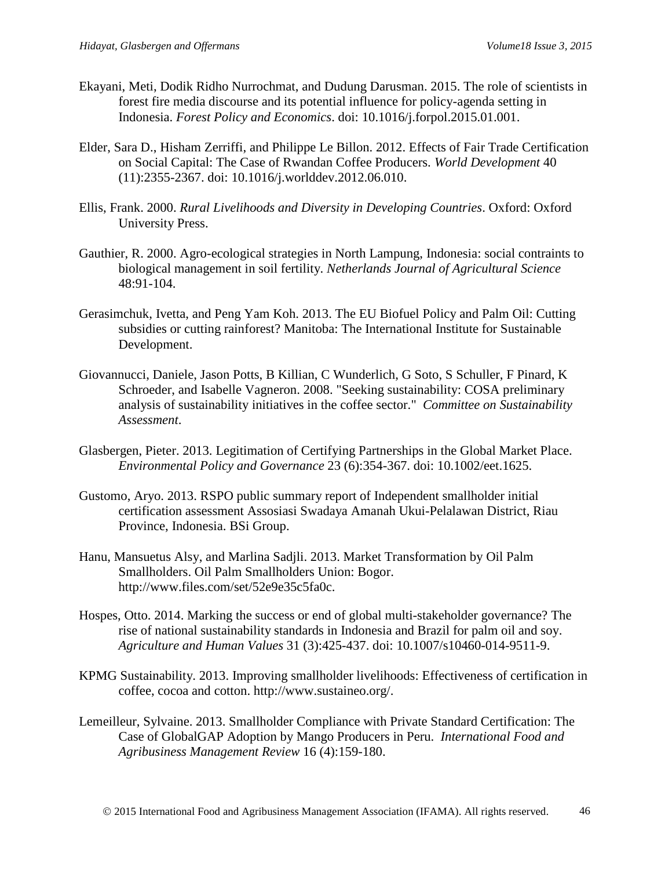- Ekayani, Meti, Dodik Ridho Nurrochmat, and Dudung Darusman. 2015. The role of scientists in forest fire media discourse and its potential influence for policy-agenda setting in Indonesia. *Forest Policy and Economics*. doi: 10.1016/j.forpol.2015.01.001.
- <span id="page-21-1"></span>Elder, Sara D., Hisham Zerriffi, and Philippe Le Billon. 2012. Effects of Fair Trade Certification on Social Capital: The Case of Rwandan Coffee Producers. *World Development* 40 (11):2355-2367. doi: 10.1016/j.worlddev.2012.06.010.
- <span id="page-21-6"></span>Ellis, Frank. 2000. *Rural Livelihoods and Diversity in Developing Countries*. Oxford: Oxford University Press.
- <span id="page-21-10"></span>Gauthier, R. 2000. Agro-ecological strategies in North Lampung, Indonesia: social contraints to biological management in soil fertility. *Netherlands Journal of Agricultural Science* 48:91-104.
- <span id="page-21-9"></span>Gerasimchuk, Ivetta, and Peng Yam Koh. 2013. The EU Biofuel Policy and Palm Oil: Cutting subsidies or cutting rainforest? Manitoba: The International Institute for Sustainable Development.
- <span id="page-21-2"></span>Giovannucci, Daniele, Jason Potts, B Killian, C Wunderlich, G Soto, S Schuller, F Pinard, K Schroeder, and Isabelle Vagneron. 2008. "Seeking sustainability: COSA preliminary analysis of sustainability initiatives in the coffee sector." *Committee on Sustainability Assessment*.
- <span id="page-21-0"></span>Glasbergen, Pieter. 2013. Legitimation of Certifying Partnerships in the Global Market Place. *Environmental Policy and Governance* 23 (6):354-367. doi: 10.1002/eet.1625.
- <span id="page-21-7"></span>Gustomo, Aryo. 2013. RSPO public summary report of Independent smallholder initial certification assessment Assosiasi Swadaya Amanah Ukui-Pelalawan District, Riau Province, Indonesia. BSi Group.
- <span id="page-21-5"></span><span id="page-21-3"></span>Hanu, Mansuetus Alsy, and Marlina Sadjli. 2013. Market Transformation by Oil Palm Smallholders. Oil Palm Smallholders Union: Bogor. http://www.files.com/set/52e9e35c5fa0c.
- Hospes, Otto. 2014. Marking the success or end of global multi-stakeholder governance? The rise of national sustainability standards in Indonesia and Brazil for palm oil and soy. *Agriculture and Human Values* 31 (3):425-437. doi: 10.1007/s10460-014-9511-9.
- KPMG Sustainability. 2013. Improving smallholder livelihoods: Effectiveness of certification in coffee, cocoa and cotton. http://www.sustaineo.org/.
- <span id="page-21-8"></span><span id="page-21-4"></span>Lemeilleur, Sylvaine. 2013. Smallholder Compliance with Private Standard Certification: The Case of GlobalGAP Adoption by Mango Producers in Peru. *International Food and Agribusiness Management Review* 16 (4):159-180.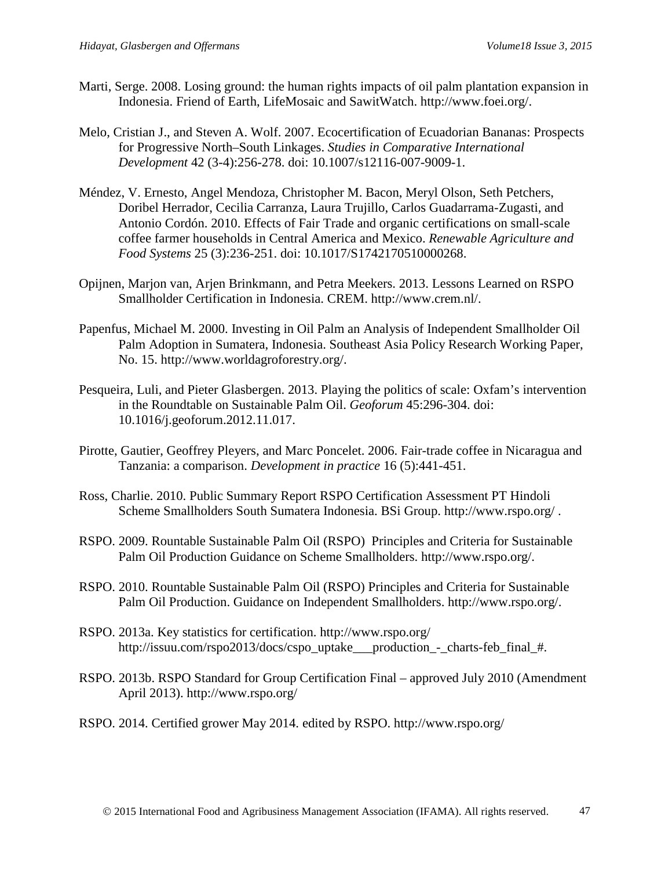- Marti, Serge. 2008. Losing ground: the human rights impacts of oil palm plantation expansion in Indonesia. Friend of Earth, LifeMosaic and SawitWatch. http://www.foei.org/.
- <span id="page-22-1"></span>Melo, Cristian J., and Steven A. Wolf. 2007. Ecocertification of Ecuadorian Bananas: Prospects for Progressive North–South Linkages. *Studies in Comparative International Development* 42 (3-4):256-278. doi: 10.1007/s12116-007-9009-1.
- <span id="page-22-0"></span>Méndez, V. Ernesto, Angel Mendoza, Christopher M. Bacon, Meryl Olson, Seth Petchers, Doribel Herrador, Cecilia Carranza, Laura Trujillo, Carlos Guadarrama-Zugasti, and Antonio Cordón. 2010. Effects of Fair Trade and organic certifications on small-scale coffee farmer households in Central America and Mexico. *Renewable Agriculture and Food Systems* 25 (3):236-251. doi: 10.1017/S1742170510000268.
- <span id="page-22-6"></span><span id="page-22-4"></span>Opijnen, Marjon van, Arjen Brinkmann, and Petra Meekers. 2013. Lessons Learned on RSPO Smallholder Certification in Indonesia. CREM. http://www.crem.nl/.
- Papenfus, Michael M. 2000. Investing in Oil Palm an Analysis of Independent Smallholder Oil Palm Adoption in Sumatera, Indonesia. Southeast Asia Policy Research Working Paper, No. 15. http://www.worldagroforestry.org/.
- <span id="page-22-5"></span>Pesqueira, Luli, and Pieter Glasbergen. 2013. Playing the politics of scale: Oxfam's intervention in the Roundtable on Sustainable Palm Oil. *Geoforum* 45:296-304. doi: 10.1016/j.geoforum.2012.11.017.
- <span id="page-22-3"></span>Pirotte, Gautier, Geoffrey Pleyers, and Marc Poncelet. 2006. Fair-trade coffee in Nicaragua and Tanzania: a comparison. *Development in practice* 16 (5):441-451.
- Ross, Charlie. 2010. Public Summary Report RSPO Certification Assessment PT Hindoli Scheme Smallholders South Sumatera Indonesia. BSi Group. http://www.rspo.org/ .
- <span id="page-22-7"></span>RSPO. 2009. Rountable Sustainable Palm Oil (RSPO) Principles and Criteria for Sustainable Palm Oil Production Guidance on Scheme Smallholders. http://www.rspo.org/.
- <span id="page-22-8"></span>RSPO. 2010. Rountable Sustainable Palm Oil (RSPO) Principles and Criteria for Sustainable Palm Oil Production. Guidance on Independent Smallholders. http://www.rspo.org/.
- <span id="page-22-10"></span>RSPO. 2013a. Key statistics for certification. http://www.rspo.org/ http://issuu.com/rspo2013/docs/cspo\_uptake\_\_\_production\_-\_charts-feb\_final\_#.
- <span id="page-22-9"></span>RSPO. 2013b. RSPO Standard for Group Certification Final – approved July 2010 (Amendment April 2013). http://www.rspo.org/
- <span id="page-22-11"></span><span id="page-22-2"></span>RSPO. 2014. Certified grower May 2014. edited by RSPO. http://www.rspo.org/